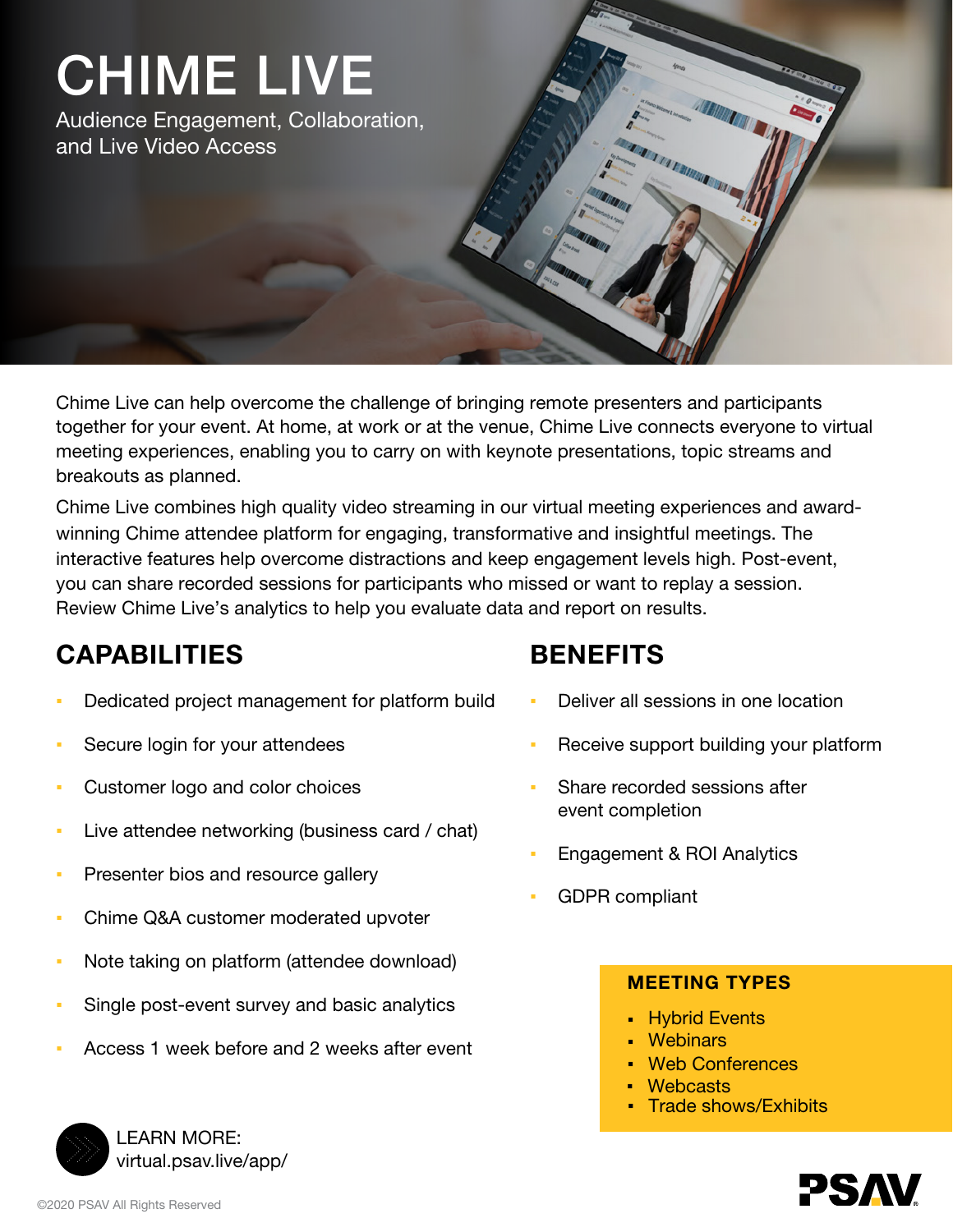# CHIME LIVE

Audience Engagement, Collaboration, and Live Video Access

Chime Live can help overcome the challenge of bringing remote presenters and participants together for your event. At home, at work or at the venue, Chime Live connects everyone to virtual meeting experiences, enabling you to carry on with keynote presentations, topic streams and breakouts as planned.

Chime Live combines high quality video streaming in our virtual meeting experiences and awardwinning Chime attendee platform for engaging, transformative and insightful meetings. The interactive features help overcome distractions and keep engagement levels high. Post-event, you can share recorded sessions for participants who missed or want to replay a session. Review Chime Live's analytics to help you evaluate data and report on results.

# CAPABILITIES

- Dedicated project management for platform build
- Secure login for your attendees
- Customer logo and color choices
- Live attendee networking (business card / chat)
- Presenter bios and resource gallery
- Chime Q&A customer moderated upvoter
- Note taking on platform (attendee download)
- Single post-event survey and basic analytics
- Access 1 week before and 2 weeks after event

# BENEFITS

- Deliver all sessions in one location
- Receive support building your platform
- Share recorded sessions after event completion
- Engagement & ROI Analytics
- **GDPR compliant**

### MEETING TYPES

- **Hybrid Events**
- Webinars
- **Web Conferences**
- **Webcasts**
- **Trade shows/Exhibits**



LEARN MORE: [virtual.psav.live/app/](https://virtual.psav.live/app/app.html)